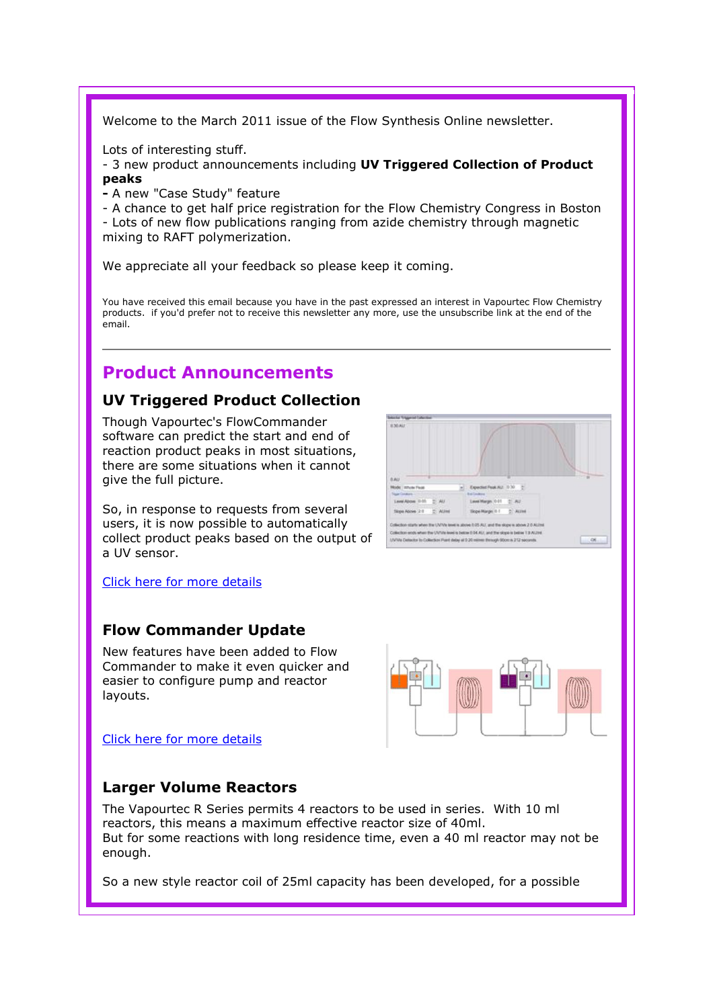Welcome to the March 2011 issue of the Flow Synthesis Online newsletter.

Lots of interesting stuff.

- 3 new product announcements including UV Triggered Collection of Product peaks
- A new "Case Study" feature

- A chance to get half price registration for the Flow Chemistry Congress in Boston - Lots of new flow publications ranging from azide chemistry through magnetic

mixing to RAFT polymerization.

We appreciate all your feedback so please keep it coming.

You have received this email because you have in the past expressed an interest in Vapourtec Flow Chemistry products. if you'd prefer not to receive this newsletter any more, use the unsubscribe link at the end of the email.

# Product Announcements

## UV Triggered Product Collection

Though Vapourtec's FlowCommander software can predict the start and end of reaction product peaks in most situations, there are some situations when it cannot give the full picture.

So, in response to requests from several users, it is now possible to automatically collect product peaks based on the output of a UV sensor.

Click here for more details

## Flow Commander Update

New features have been added to Flow Commander to make it even quicker and easier to configure pump and reactor layouts.

Click here for more details





## Larger Volume Reactors

The Vapourtec R Series permits 4 reactors to be used in series. With 10 ml reactors, this means a maximum effective reactor size of 40ml. But for some reactions with long residence time, even a 40 ml reactor may not be enough.

So a new style reactor coil of 25ml capacity has been developed, for a possible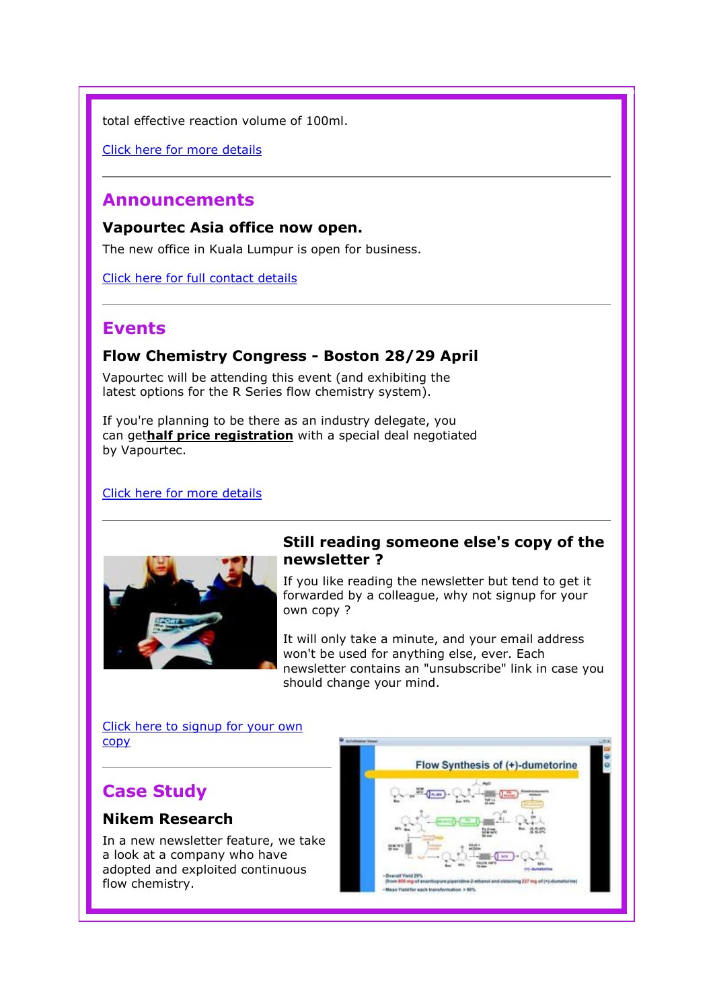total effective reaction volume of 100ml.

Click here for more details

## Announcements

Vapourtec Asia office now open.

The new office in Kuala Lumpur is open for business.

Click here for full contact details

# Events

#### Flow Chemistry Congress - Boston 28/29 April

Vapourtec will be attending this event (and exhibiting the latest options for the R Series flow chemistry system).

If you're planning to be there as an industry delegate, you can gethalf price registration with a special deal negotiated by Vapourtec.

#### Click here for more details



#### Still reading someone else's copy of the newsletter ?

If you like reading the newsletter but tend to get it forwarded by a colleague, why not signup for your own copy ?

It will only take a minute, and your email address won't be used for anything else, ever. Each newsletter contains an "unsubscribe" link in case you should change your mind.

Click here to signup for your own copy

# Case Study

#### Nikem Research

In a new newsletter feature, we take a look at a company who have adopted and exploited continuous flow chemistry.

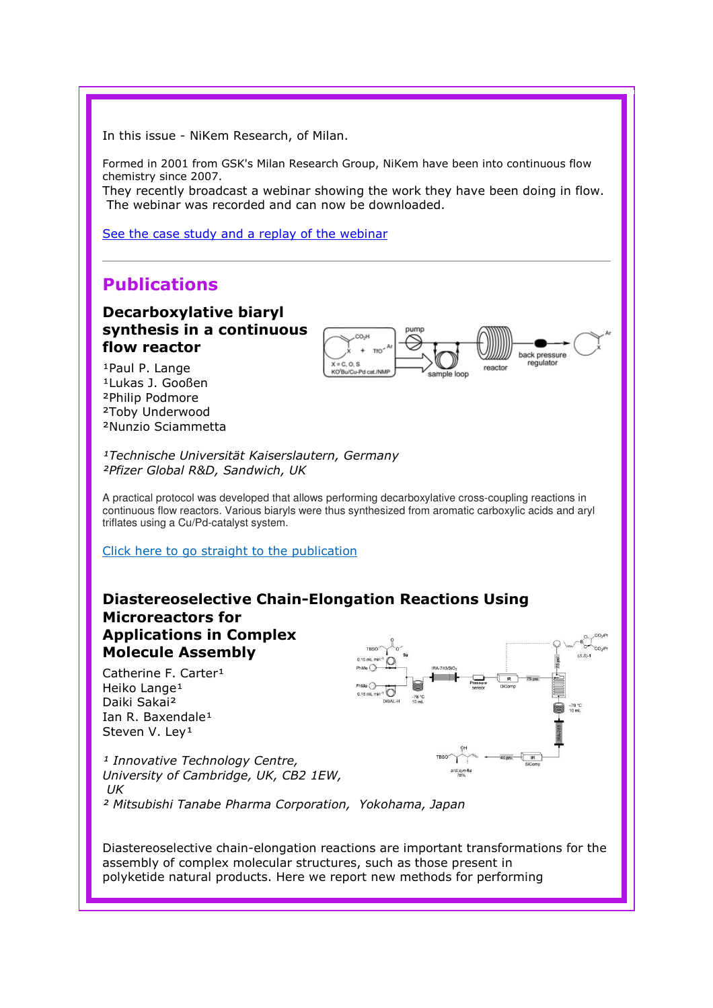In this issue - NiKem Research, of Milan.

Formed in 2001 from GSK's Milan Research Group, NiKem have been into continuous flow chemistry since 2007.

They recently broadcast a webinar showing the work they have been doing in flow. The webinar was recorded and can now be downloaded.

See the case study and a replay of the webinar

## Publications

#### Decarboxylative biaryl synthesis in a continuous flow reactor

1Paul P. Lange <sup>1</sup>Lukas J. Gooßen ²Philip Podmore ²Toby Underwood ²Nunzio Sciammetta



<sup>1</sup>Technische Universität Kaiserslautern, Germany ²Pfizer Global R&D, Sandwich, UK

A practical protocol was developed that allows performing decarboxylative cross-coupling reactions in continuous flow reactors. Various biaryls were thus synthesized from aromatic carboxylic acids and aryl triflates using a Cu/Pd-catalyst system.

Click here to go straight to the publication



Diastereoselective chain-elongation reactions are important transformations for the assembly of complex molecular structures, such as those present in polyketide natural products. Here we report new methods for performing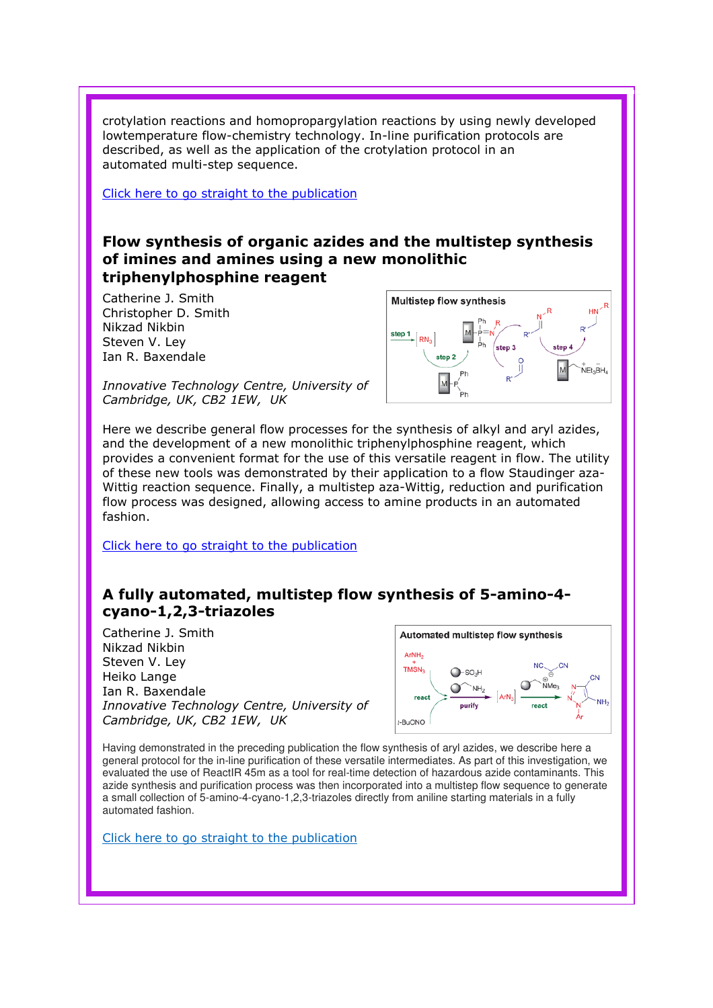crotylation reactions and homopropargylation reactions by using newly developed lowtemperature flow-chemistry technology. In-line purification protocols are described, as well as the application of the crotylation protocol in an automated multi-step sequence.

Click here to go straight to the publication

#### Flow synthesis of organic azides and the multistep synthesis of imines and amines using a new monolithic triphenylphosphine reagent

Catherine J. Smith Christopher D. Smith Nikzad Nikbin Steven V. Ley Ian R. Baxendale



Innovative Technology Centre, University of Cambridge, UK, CB2 1EW, UK

Here we describe general flow processes for the synthesis of alkyl and aryl azides, and the development of a new monolithic triphenylphosphine reagent, which provides a convenient format for the use of this versatile reagent in flow. The utility of these new tools was demonstrated by their application to a flow Staudinger aza-Wittig reaction sequence. Finally, a multistep aza-Wittig, reduction and purification flow process was designed, allowing access to amine products in an automated fashion.

Click here to go straight to the publication

## A fully automated, multistep flow synthesis of 5-amino-4 cyano-1,2,3-triazoles

Catherine J. Smith Nikzad Nikbin Steven V. Ley Heiko Lange Ian R. Baxendale Innovative Technology Centre, University of Cambridge, UK, CB2 1EW, UK



Having demonstrated in the preceding publication the flow synthesis of aryl azides, we describe here a general protocol for the in-line purification of these versatile intermediates. As part of this investigation, we evaluated the use of ReactIR 45m as a tool for real-time detection of hazardous azide contaminants. This azide synthesis and purification process was then incorporated into a multistep flow sequence to generate a small collection of 5-amino-4-cyano-1,2,3-triazoles directly from aniline starting materials in a fully automated fashion.

Click here to go straight to the publication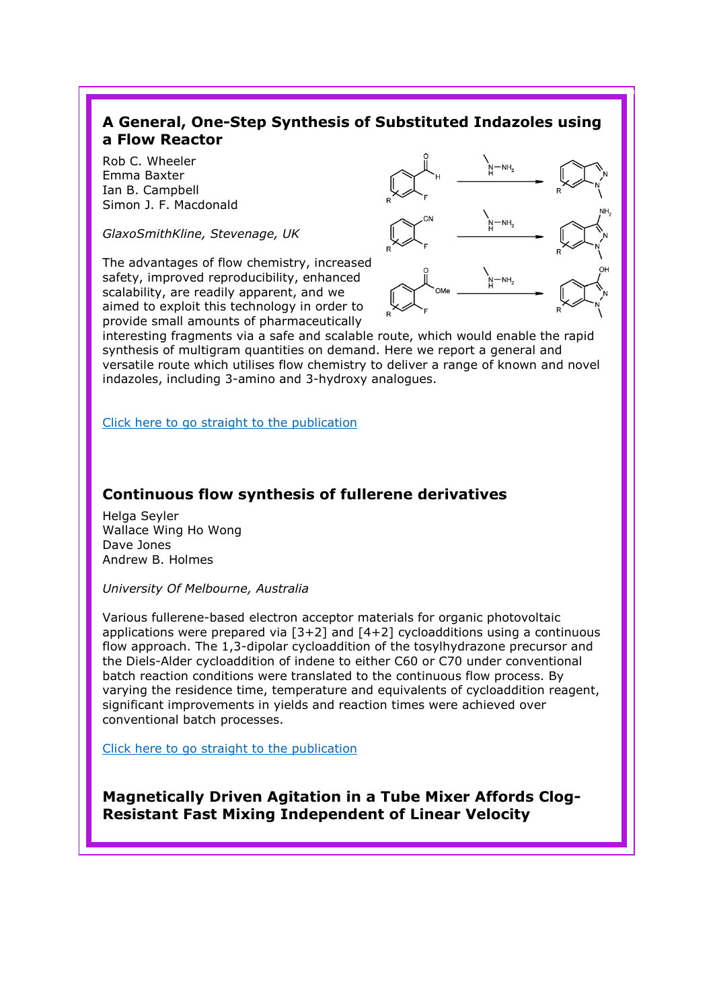#### A General, One-Step Synthesis of Substituted Indazoles using a Flow Reactor

Rob C. Wheeler Emma Baxter Ian B. Campbell Simon J. F. Macdonald

GlaxoSmithKline, Stevenage, UK

The advantages of flow chemistry, increased safety, improved reproducibility, enhanced scalability, are readily apparent, and we aimed to exploit this technology in order to provide small amounts of pharmaceutically



interesting fragments via a safe and scalable route, which would enable the rapid synthesis of multigram quantities on demand. Here we report a general and versatile route which utilises flow chemistry to deliver a range of known and novel indazoles, including 3-amino and 3-hydroxy analogues.

Click here to go straight to the publication

#### Continuous flow synthesis of fullerene derivatives

Helga Seyler Wallace Wing Ho Wong Dave Jones Andrew B. Holmes

University Of Melbourne, Australia

Various fullerene-based electron acceptor materials for organic photovoltaic applications were prepared via  $[3+2]$  and  $[4+2]$  cycloadditions using a continuous flow approach. The 1,3-dipolar cycloaddition of the tosylhydrazone precursor and the Diels-Alder cycloaddition of indene to either C60 or C70 under conventional batch reaction conditions were translated to the continuous flow process. By varying the residence time, temperature and equivalents of cycloaddition reagent, significant improvements in yields and reaction times were achieved over conventional batch processes.

Click here to go straight to the publication

Magnetically Driven Agitation in a Tube Mixer Affords Clog-Resistant Fast Mixing Independent of Linear Velocity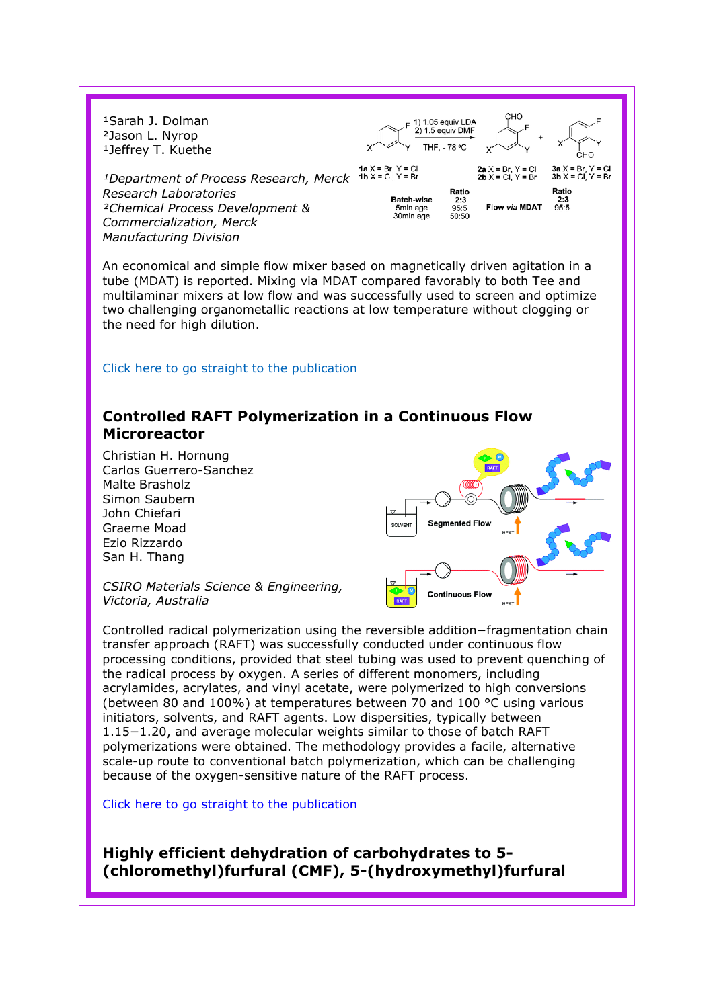

An economical and simple flow mixer based on magnetically driven agitation in a tube (MDAT) is reported. Mixing via MDAT compared favorably to both Tee and multilaminar mixers at low flow and was successfully used to screen and optimize two challenging organometallic reactions at low temperature without clogging or the need for high dilution.

#### Click here to go straight to the publication

#### Controlled RAFT Polymerization in a Continuous Flow Microreactor

Christian H. Hornung Carlos Guerrero-Sanchez Malte Brasholz Simon Saubern John Chiefari **Seamented Flow** Graeme Moad Ezio Rizzardo San H. Thang CSIRO Materials Science & Engineering, **Continuous Flow** Victoria, Australia

Controlled radical polymerization using the reversible addition−fragmentation chain transfer approach (RAFT) was successfully conducted under continuous flow processing conditions, provided that steel tubing was used to prevent quenching of the radical process by oxygen. A series of different monomers, including acrylamides, acrylates, and vinyl acetate, were polymerized to high conversions (between 80 and 100%) at temperatures between 70 and 100 °C using various initiators, solvents, and RAFT agents. Low dispersities, typically between 1.15−1.20, and average molecular weights similar to those of batch RAFT polymerizations were obtained. The methodology provides a facile, alternative scale-up route to conventional batch polymerization, which can be challenging because of the oxygen-sensitive nature of the RAFT process.

Click here to go straight to the publication

Highly efficient dehydration of carbohydrates to 5- (chloromethyl)furfural (CMF), 5-(hydroxymethyl)furfural